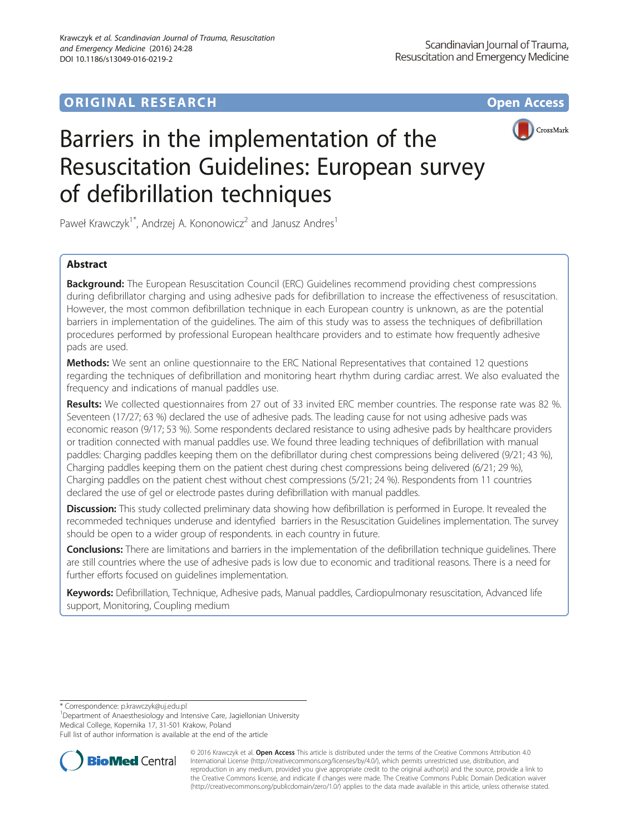# **ORIGINAL RESEARCH CONSUMING ACCESS**



# Barriers in the implementation of the Resuscitation Guidelines: European survey of defibrillation techniques

Paweł Krawczyk<sup>1\*</sup>, Andrzej A. Kononowicz<sup>2</sup> and Janusz Andres<sup>1</sup>

# Abstract

**Background:** The European Resuscitation Council (ERC) Guidelines recommend providing chest compressions during defibrillator charging and using adhesive pads for defibrillation to increase the effectiveness of resuscitation. However, the most common defibrillation technique in each European country is unknown, as are the potential barriers in implementation of the guidelines. The aim of this study was to assess the techniques of defibrillation procedures performed by professional European healthcare providers and to estimate how frequently adhesive pads are used.

Methods: We sent an online questionnaire to the ERC National Representatives that contained 12 questions regarding the techniques of defibrillation and monitoring heart rhythm during cardiac arrest. We also evaluated the frequency and indications of manual paddles use.

Results: We collected questionnaires from 27 out of 33 invited ERC member countries. The response rate was 82 %. Seventeen (17/27; 63 %) declared the use of adhesive pads. The leading cause for not using adhesive pads was economic reason (9/17; 53 %). Some respondents declared resistance to using adhesive pads by healthcare providers or tradition connected with manual paddles use. We found three leading techniques of defibrillation with manual paddles: Charging paddles keeping them on the defibrillator during chest compressions being delivered (9/21; 43 %), Charging paddles keeping them on the patient chest during chest compressions being delivered (6/21; 29 %), Charging paddles on the patient chest without chest compressions (5/21; 24 %). Respondents from 11 countries declared the use of gel or electrode pastes during defibrillation with manual paddles.

Discussion: This study collected preliminary data showing how defibrillation is performed in Europe. It revealed the recommeded techniques underuse and identyfied barriers in the Resuscitation Guidelines implementation. The survey should be open to a wider group of respondents. in each country in future.

Conclusions: There are limitations and barriers in the implementation of the defibrillation technique quidelines. There are still countries where the use of adhesive pads is low due to economic and traditional reasons. There is a need for further efforts focused on guidelines implementation.

Keywords: Defibrillation, Technique, Adhesive pads, Manual paddles, Cardiopulmonary resuscitation, Advanced life support, Monitoring, Coupling medium

\* Correspondence: [p.krawczyk@uj.edu.pl](mailto:p.krawczyk@uj.edu.pl) <sup>1</sup>

<sup>1</sup>Department of Anaesthesiology and Intensive Care, Jagiellonian University Medical College, Kopernika 17, 31-501 Krakow, Poland

Full list of author information is available at the end of the article



© 2016 Krawczyk et al. Open Access This article is distributed under the terms of the Creative Commons Attribution 4.0 International License [\(http://creativecommons.org/licenses/by/4.0/](http://creativecommons.org/licenses/by/4.0/)), which permits unrestricted use, distribution, and reproduction in any medium, provided you give appropriate credit to the original author(s) and the source, provide a link to the Creative Commons license, and indicate if changes were made. The Creative Commons Public Domain Dedication waiver [\(http://creativecommons.org/publicdomain/zero/1.0/](http://creativecommons.org/publicdomain/zero/1.0/)) applies to the data made available in this article, unless otherwise stated.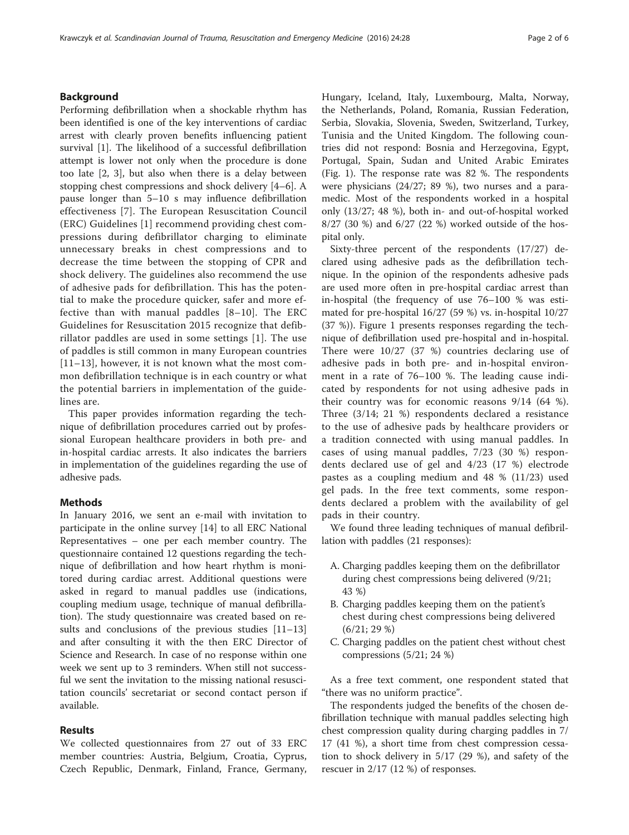### Background

Performing defibrillation when a shockable rhythm has been identified is one of the key interventions of cardiac arrest with clearly proven benefits influencing patient survival [\[1](#page-5-0)]. The likelihood of a successful defibrillation attempt is lower not only when the procedure is done too late [\[2](#page-5-0), [3\]](#page-5-0), but also when there is a delay between stopping chest compressions and shock delivery [[4](#page-5-0)–[6](#page-5-0)]. A pause longer than 5–10 s may influence defibrillation effectiveness [\[7](#page-5-0)]. The European Resuscitation Council (ERC) Guidelines [\[1](#page-5-0)] recommend providing chest compressions during defibrillator charging to eliminate unnecessary breaks in chest compressions and to decrease the time between the stopping of CPR and shock delivery. The guidelines also recommend the use of adhesive pads for defibrillation. This has the potential to make the procedure quicker, safer and more effective than with manual paddles [[8](#page-5-0)–[10](#page-5-0)]. The ERC Guidelines for Resuscitation 2015 recognize that defibrillator paddles are used in some settings [[1](#page-5-0)]. The use of paddles is still common in many European countries [[11](#page-5-0)–[13\]](#page-5-0), however, it is not known what the most common defibrillation technique is in each country or what the potential barriers in implementation of the guidelines are.

This paper provides information regarding the technique of defibrillation procedures carried out by professional European healthcare providers in both pre- and in-hospital cardiac arrests. It also indicates the barriers in implementation of the guidelines regarding the use of adhesive pads.

#### Methods

In January 2016, we sent an e-mail with invitation to participate in the online survey [[14\]](#page-5-0) to all ERC National Representatives – one per each member country. The questionnaire contained 12 questions regarding the technique of defibrillation and how heart rhythm is monitored during cardiac arrest. Additional questions were asked in regard to manual paddles use (indications, coupling medium usage, technique of manual defibrillation). The study questionnaire was created based on results and conclusions of the previous studies [[11](#page-5-0)–[13](#page-5-0)] and after consulting it with the then ERC Director of Science and Research. In case of no response within one week we sent up to 3 reminders. When still not successful we sent the invitation to the missing national resuscitation councils' secretariat or second contact person if available.

#### Results

We collected questionnaires from 27 out of 33 ERC member countries: Austria, Belgium, Croatia, Cyprus, Czech Republic, Denmark, Finland, France, Germany, Hungary, Iceland, Italy, Luxembourg, Malta, Norway, the Netherlands, Poland, Romania, Russian Federation, Serbia, Slovakia, Slovenia, Sweden, Switzerland, Turkey, Tunisia and the United Kingdom. The following countries did not respond: Bosnia and Herzegovina, Egypt, Portugal, Spain, Sudan and United Arabic Emirates (Fig. [1\)](#page-2-0). The response rate was 82 %. The respondents were physicians (24/27; 89 %), two nurses and a paramedic. Most of the respondents worked in a hospital only (13/27; 48 %), both in- and out-of-hospital worked 8/27 (30 %) and 6/27 (22 %) worked outside of the hospital only.

Sixty-three percent of the respondents (17/27) declared using adhesive pads as the defibrillation technique. In the opinion of the respondents adhesive pads are used more often in pre-hospital cardiac arrest than in-hospital (the frequency of use 76–100 % was estimated for pre-hospital 16/27 (59 %) vs. in-hospital 10/27 (37 %)). Figure [1](#page-2-0) presents responses regarding the technique of defibrillation used pre-hospital and in-hospital. There were 10/27 (37 %) countries declaring use of adhesive pads in both pre- and in-hospital environment in a rate of 76–100 %. The leading cause indicated by respondents for not using adhesive pads in their country was for economic reasons 9/14 (64 %). Three (3/14; 21 %) respondents declared a resistance to the use of adhesive pads by healthcare providers or a tradition connected with using manual paddles. In cases of using manual paddles, 7/23 (30 %) respondents declared use of gel and 4/23 (17 %) electrode pastes as a coupling medium and 48 % (11/23) used gel pads. In the free text comments, some respondents declared a problem with the availability of gel pads in their country.

We found three leading techniques of manual defibrillation with paddles (21 responses):

- A. Charging paddles keeping them on the defibrillator during chest compressions being delivered (9/21; 43 %)
- B. Charging paddles keeping them on the patient's chest during chest compressions being delivered (6/21; 29 %)
- C. Charging paddles on the patient chest without chest compressions (5/21; 24 %)

As a free text comment, one respondent stated that "there was no uniform practice".

The respondents judged the benefits of the chosen defibrillation technique with manual paddles selecting high chest compression quality during charging paddles in 7/ 17 (41 %), a short time from chest compression cessation to shock delivery in 5/17 (29 %), and safety of the rescuer in 2/17 (12 %) of responses.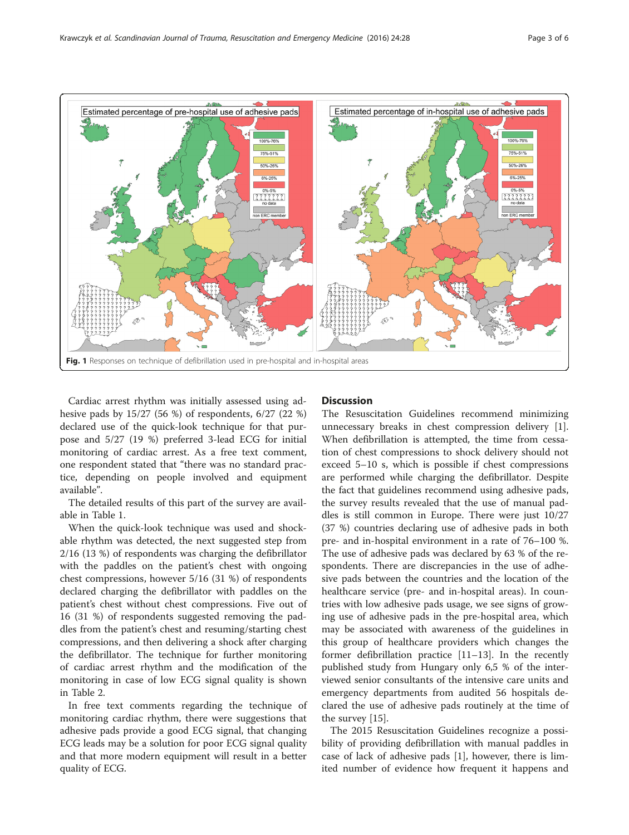<span id="page-2-0"></span>

Cardiac arrest rhythm was initially assessed using adhesive pads by 15/27 (56 %) of respondents, 6/27 (22 %) declared use of the quick-look technique for that purpose and 5/27 (19 %) preferred 3-lead ECG for initial monitoring of cardiac arrest. As a free text comment, one respondent stated that "there was no standard practice, depending on people involved and equipment available".

The detailed results of this part of the survey are available in Table [1.](#page-3-0)

When the quick-look technique was used and shockable rhythm was detected, the next suggested step from 2/16 (13 %) of respondents was charging the defibrillator with the paddles on the patient's chest with ongoing chest compressions, however 5/16 (31 %) of respondents declared charging the defibrillator with paddles on the patient's chest without chest compressions. Five out of 16 (31 %) of respondents suggested removing the paddles from the patient's chest and resuming/starting chest compressions, and then delivering a shock after charging the defibrillator. The technique for further monitoring of cardiac arrest rhythm and the modification of the monitoring in case of low ECG signal quality is shown in Table [2.](#page-4-0)

In free text comments regarding the technique of monitoring cardiac rhythm, there were suggestions that adhesive pads provide a good ECG signal, that changing ECG leads may be a solution for poor ECG signal quality and that more modern equipment will result in a better quality of ECG.

#### **Discussion**

The Resuscitation Guidelines recommend minimizing unnecessary breaks in chest compression delivery [\[1](#page-5-0)]. When defibrillation is attempted, the time from cessation of chest compressions to shock delivery should not exceed 5–10 s, which is possible if chest compressions are performed while charging the defibrillator. Despite the fact that guidelines recommend using adhesive pads, the survey results revealed that the use of manual paddles is still common in Europe. There were just 10/27 (37 %) countries declaring use of adhesive pads in both pre- and in-hospital environment in a rate of 76–100 %. The use of adhesive pads was declared by 63 % of the respondents. There are discrepancies in the use of adhesive pads between the countries and the location of the healthcare service (pre- and in-hospital areas). In countries with low adhesive pads usage, we see signs of growing use of adhesive pads in the pre-hospital area, which may be associated with awareness of the guidelines in this group of healthcare providers which changes the former defibrillation practice [[11](#page-5-0)–[13](#page-5-0)]. In the recently published study from Hungary only 6,5 % of the interviewed senior consultants of the intensive care units and emergency departments from audited 56 hospitals declared the use of adhesive pads routinely at the time of the survey [\[15\]](#page-5-0).

The 2015 Resuscitation Guidelines recognize a possibility of providing defibrillation with manual paddles in case of lack of adhesive pads [\[1](#page-5-0)], however, there is limited number of evidence how frequent it happens and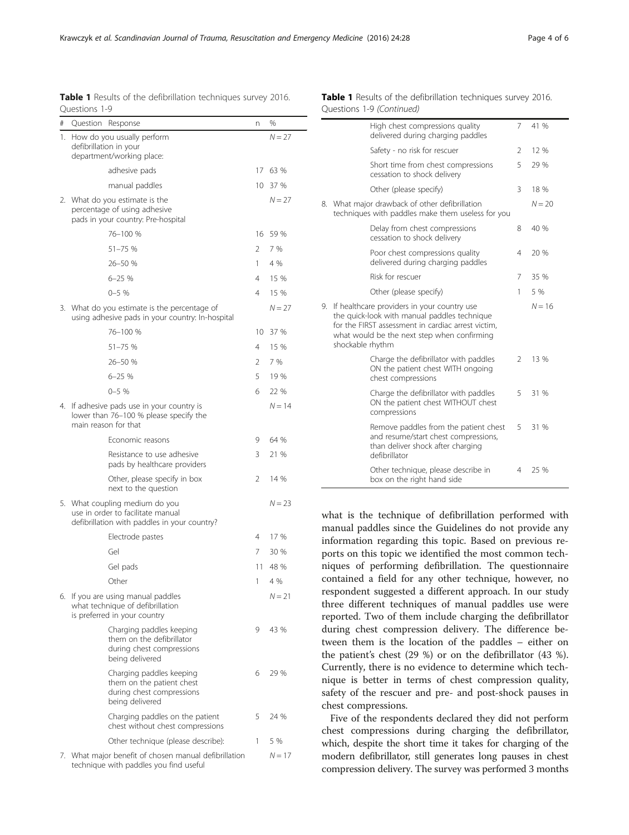<span id="page-3-0"></span>Krawczyk et al. Scandinavian Journal of Trauma, Resuscitation and Emergency Medicine (2016) 24:28 Page 4 of 6

|    | Questions 1-9                                                                                                       |               |          |  |  |  |  |  |  |
|----|---------------------------------------------------------------------------------------------------------------------|---------------|----------|--|--|--|--|--|--|
| #  | Question<br>Response                                                                                                | n             | %        |  |  |  |  |  |  |
| 1. | How do you usually perform<br>defibrillation in your<br>department/working place:                                   |               | $N = 27$ |  |  |  |  |  |  |
|    | adhesive pads                                                                                                       | 17            | 63 %     |  |  |  |  |  |  |
|    | manual paddles                                                                                                      |               | 10 37 %  |  |  |  |  |  |  |
|    | 2. What do you estimate is the<br>percentage of using adhesive<br>pads in your country: Pre-hospital                |               | $N = 27$ |  |  |  |  |  |  |
|    | 76-100 %                                                                                                            | 16            | 59 %     |  |  |  |  |  |  |
|    | 51-75 %                                                                                                             | $\mathcal{P}$ | 7 %      |  |  |  |  |  |  |
|    | 26-50 %                                                                                                             | 1             | 4 %      |  |  |  |  |  |  |
|    | $6 - 25%$                                                                                                           | 4             | 15 %     |  |  |  |  |  |  |
|    | $0 - 5$ %                                                                                                           | 4             | 15 %     |  |  |  |  |  |  |
|    | 3. What do you estimate is the percentage of<br>using adhesive pads in your country: In-hospital                    |               | $N = 27$ |  |  |  |  |  |  |
|    | 76-100 %                                                                                                            | 10            | 37 %     |  |  |  |  |  |  |
|    | 51-75 %                                                                                                             | 4             | 15 %     |  |  |  |  |  |  |
|    | 26-50 %                                                                                                             | 2             | 7 %      |  |  |  |  |  |  |
|    | $6 - 25%$                                                                                                           | 5             | 19 %     |  |  |  |  |  |  |
|    | $0 - 5$ %                                                                                                           | 6             | 22 %     |  |  |  |  |  |  |
| 4. | If adhesive pads use in your country is<br>lower than 76-100 % please specify the<br>main reason for that           |               | $N = 14$ |  |  |  |  |  |  |
|    | Economic reasons                                                                                                    | 9             | 64 %     |  |  |  |  |  |  |
|    | Resistance to use adhesive<br>pads by healthcare providers                                                          | 3             | 21 %     |  |  |  |  |  |  |
|    | Other, please specify in box<br>next to the question                                                                | 2             | 14 %     |  |  |  |  |  |  |
|    | 5. What coupling medium do you<br>use in order to facilitate manual<br>defibrillation with paddles in your country? |               | $N = 23$ |  |  |  |  |  |  |
|    | Electrode pastes                                                                                                    | 4             | 17 %     |  |  |  |  |  |  |
|    | Gel                                                                                                                 | 7             | 30 %     |  |  |  |  |  |  |
|    | Gel pads                                                                                                            | 11            | 48 %     |  |  |  |  |  |  |
|    | Other                                                                                                               | 1             | 4 %      |  |  |  |  |  |  |
|    | 6. If you are using manual paddles<br>what technique of defibrillation<br>is preferred in your country              |               | $N = 21$ |  |  |  |  |  |  |
|    | Charging paddles keeping<br>them on the defibrillator<br>during chest compressions<br>being delivered               | 9             | 43 %     |  |  |  |  |  |  |
|    | Charging paddles keeping<br>them on the patient chest<br>during chest compressions<br>being delivered               | 6             | 29 %     |  |  |  |  |  |  |
|    | Charging paddles on the patient<br>chest without chest compressions                                                 | 5             | 24 %     |  |  |  |  |  |  |
|    | Other technique (please describe):                                                                                  | 1             | 5 %      |  |  |  |  |  |  |
|    | 7. What major benefit of chosen manual defibrillation<br>technique with paddles you find useful                     |               | $N = 17$ |  |  |  |  |  |  |

#### Table 1 Results of the defibrillation techniques survey 2016. Table 1 Results of the defibrillation techniques survey 2016. Questions 1-9 (Continued)

| High chest compressions quality<br>delivered during charging paddles                                                                                                                                                    | 7              | 41 %     |
|-------------------------------------------------------------------------------------------------------------------------------------------------------------------------------------------------------------------------|----------------|----------|
| Safety - no risk for rescuer                                                                                                                                                                                            | $\mathcal{P}$  | 12%      |
| Short time from chest compressions<br>cessation to shock delivery                                                                                                                                                       | 5              | 29 %     |
| Other (please specify)                                                                                                                                                                                                  | 3              | 18 %     |
| 8. What major drawback of other defibrillation<br>techniques with paddles make them useless for you                                                                                                                     |                | $N = 20$ |
| Delay from chest compressions<br>cessation to shock delivery                                                                                                                                                            | 8              | 40 %     |
| Poor chest compressions quality<br>delivered during charging paddles                                                                                                                                                    | 4              | 20 %     |
| Risk for rescuer                                                                                                                                                                                                        | 7              | 35 %     |
| Other (please specify)                                                                                                                                                                                                  | 1              | 5 %      |
| 9. If healthcare providers in your country use<br>the quick-look with manual paddles technique<br>for the FIRST assessment in cardiac arrest victim.<br>what would be the next step when confirming<br>shockable rhythm |                | $N = 16$ |
| Charge the defibrillator with paddles<br>ON the patient chest WITH ongoing<br>chest compressions                                                                                                                        | $\mathfrak{D}$ | 13 %     |
| Charge the defibrillator with paddles<br>ON the patient chest WITHOUT chest<br>compressions                                                                                                                             | 5              | 31 %     |
| Remove paddles from the patient chest<br>and resume/start chest compressions,<br>than deliver shock after charging<br>defibrillator                                                                                     | 5              | 31 %     |
| Other technique, please describe in                                                                                                                                                                                     | 4              | 25 %     |

what is the technique of defibrillation performed with manual paddles since the Guidelines do not provide any information regarding this topic. Based on previous reports on this topic we identified the most common techniques of performing defibrillation. The questionnaire contained a field for any other technique, however, no respondent suggested a different approach. In our study three different techniques of manual paddles use were reported. Two of them include charging the defibrillator during chest compression delivery. The difference between them is the location of the paddles – either on the patient's chest (29 %) or on the defibrillator (43 %). Currently, there is no evidence to determine which technique is better in terms of chest compression quality, safety of the rescuer and pre- and post-shock pauses in chest compressions.

Five of the respondents declared they did not perform chest compressions during charging the defibrillator, which, despite the short time it takes for charging of the modern defibrillator, still generates long pauses in chest compression delivery. The survey was performed 3 months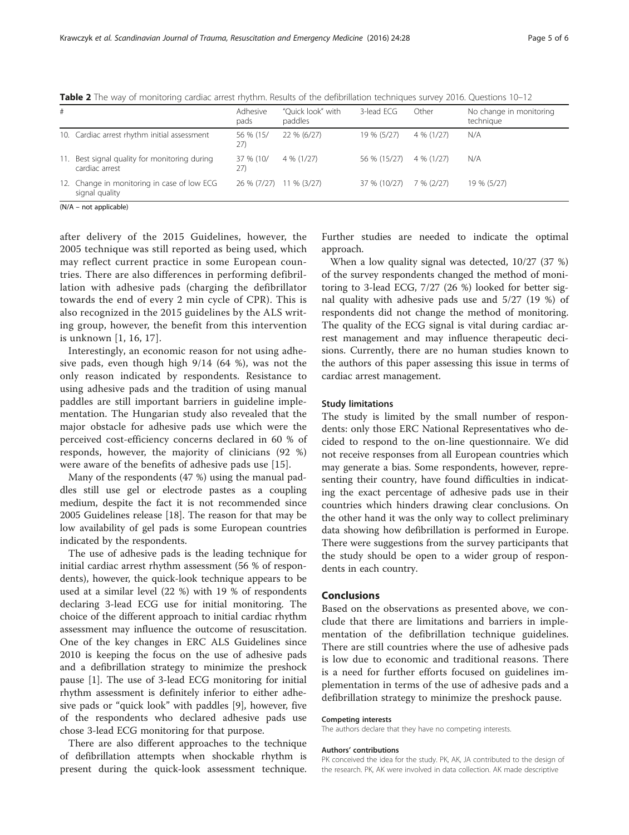| #   |                                                               | Adhesive<br>pads | "Ouick look" with<br>paddles | 3-lead ECG   | Other        | No change in monitoring<br>technique |
|-----|---------------------------------------------------------------|------------------|------------------------------|--------------|--------------|--------------------------------------|
|     | 10. Cardiac arrest rhythm initial assessment                  | 56 % (15/<br>27) | 22 % (6/27)                  | 19 % (5/27)  | $4\%$ (1/27) | N/A                                  |
| 11. | Best signal quality for monitoring during<br>cardiac arrest   | 37 % (10/<br>27) | $4\%$ (1/27)                 | 56 % (15/27) | 4 % (1/27)   | N/A                                  |
|     | 12. Change in monitoring in case of low ECG<br>signal quality | 26 % (7/27)      | 11 % (3/27)                  | 37 % (10/27) | 7% (2/27)    | 19 % (5/27)                          |
|     | $\mathbf{A}$                                                  |                  |                              |              |              |                                      |

<span id="page-4-0"></span>Table 2 The way of monitoring cardiac arrest rhythm. Results of the defibrillation techniques survey 2016. Questions 10-12

(N/A – not applicable)

after delivery of the 2015 Guidelines, however, the 2005 technique was still reported as being used, which may reflect current practice in some European countries. There are also differences in performing defibrillation with adhesive pads (charging the defibrillator towards the end of every 2 min cycle of CPR). This is also recognized in the 2015 guidelines by the ALS writing group, however, the benefit from this intervention is unknown [[1, 16](#page-5-0), [17](#page-5-0)].

Interestingly, an economic reason for not using adhesive pads, even though high 9/14 (64 %), was not the only reason indicated by respondents. Resistance to using adhesive pads and the tradition of using manual paddles are still important barriers in guideline implementation. The Hungarian study also revealed that the major obstacle for adhesive pads use which were the perceived cost-efficiency concerns declared in 60 % of responds, however, the majority of clinicians (92 %) were aware of the benefits of adhesive pads use [\[15](#page-5-0)].

Many of the respondents (47 %) using the manual paddles still use gel or electrode pastes as a coupling medium, despite the fact it is not recommended since 2005 Guidelines release [[18\]](#page-5-0). The reason for that may be low availability of gel pads is some European countries indicated by the respondents.

The use of adhesive pads is the leading technique for initial cardiac arrest rhythm assessment (56 % of respondents), however, the quick-look technique appears to be used at a similar level (22 %) with 19 % of respondents declaring 3-lead ECG use for initial monitoring. The choice of the different approach to initial cardiac rhythm assessment may influence the outcome of resuscitation. One of the key changes in ERC ALS Guidelines since 2010 is keeping the focus on the use of adhesive pads and a defibrillation strategy to minimize the preshock pause [[1\]](#page-5-0). The use of 3-lead ECG monitoring for initial rhythm assessment is definitely inferior to either adhesive pads or "quick look" with paddles [\[9](#page-5-0)], however, five of the respondents who declared adhesive pads use chose 3-lead ECG monitoring for that purpose.

There are also different approaches to the technique of defibrillation attempts when shockable rhythm is present during the quick-look assessment technique. Further studies are needed to indicate the optimal approach.

When a low quality signal was detected, 10/27 (37 %) of the survey respondents changed the method of monitoring to 3-lead ECG, 7/27 (26 %) looked for better signal quality with adhesive pads use and 5/27 (19 %) of respondents did not change the method of monitoring. The quality of the ECG signal is vital during cardiac arrest management and may influence therapeutic decisions. Currently, there are no human studies known to the authors of this paper assessing this issue in terms of cardiac arrest management.

#### Study limitations

The study is limited by the small number of respondents: only those ERC National Representatives who decided to respond to the on-line questionnaire. We did not receive responses from all European countries which may generate a bias. Some respondents, however, representing their country, have found difficulties in indicating the exact percentage of adhesive pads use in their countries which hinders drawing clear conclusions. On the other hand it was the only way to collect preliminary data showing how defibrillation is performed in Europe. There were suggestions from the survey participants that the study should be open to a wider group of respondents in each country.

#### Conclusions

Based on the observations as presented above, we conclude that there are limitations and barriers in implementation of the defibrillation technique guidelines. There are still countries where the use of adhesive pads is low due to economic and traditional reasons. There is a need for further efforts focused on guidelines implementation in terms of the use of adhesive pads and a defibrillation strategy to minimize the preshock pause.

#### Competing interests

The authors declare that they have no competing interests.

#### Authors' contributions

PK conceived the idea for the study. PK, AK, JA contributed to the design of the research. PK, AK were involved in data collection. AK made descriptive